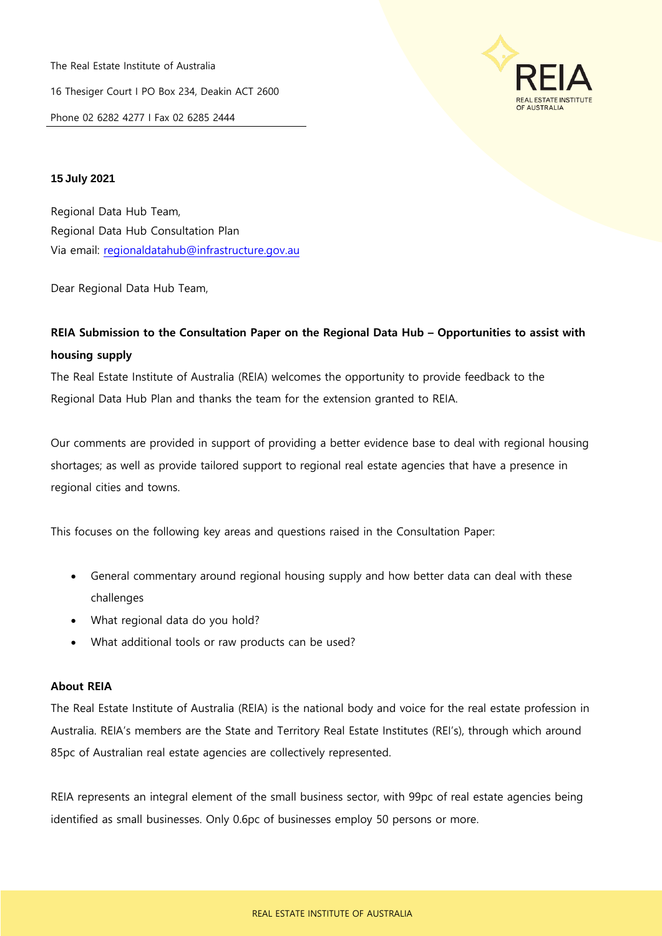The Real Estate Institute of Australia 16 Thesiger Court I PO Box 234, Deakin ACT 2600 Phone 02 6282 4277 I Fax 02 6285 2444



## **15 July 2021**

Regional Data Hub Team, Regional Data Hub Consultation Plan Via email: [regionaldatahub@infrastructure.gov.au](mailto:regionaldatahub@infrastructure.gov.au)

Dear Regional Data Hub Team,

# **REIA Submission to the Consultation Paper on the Regional Data Hub – Opportunities to assist with housing supply**

The Real Estate Institute of Australia (REIA) welcomes the opportunity to provide feedback to the Regional Data Hub Plan and thanks the team for the extension granted to REIA.

Our comments are provided in support of providing a better evidence base to deal with regional housing shortages; as well as provide tailored support to regional real estate agencies that have a presence in regional cities and towns.

This focuses on the following key areas and questions raised in the Consultation Paper:

- General commentary around regional housing supply and how better data can deal with these challenges
- What regional data do you hold?
- What additional tools or raw products can be used?

## **About REIA**

The Real Estate Institute of Australia (REIA) is the national body and voice for the real estate profession in Australia. REIA's members are the State and Territory Real Estate Institutes (REI's), through which around 85pc of Australian real estate agencies are collectively represented.

REIA represents an integral element of the small business sector, with 99pc of real estate agencies being identified as small businesses. Only 0.6pc of businesses employ 50 persons or more.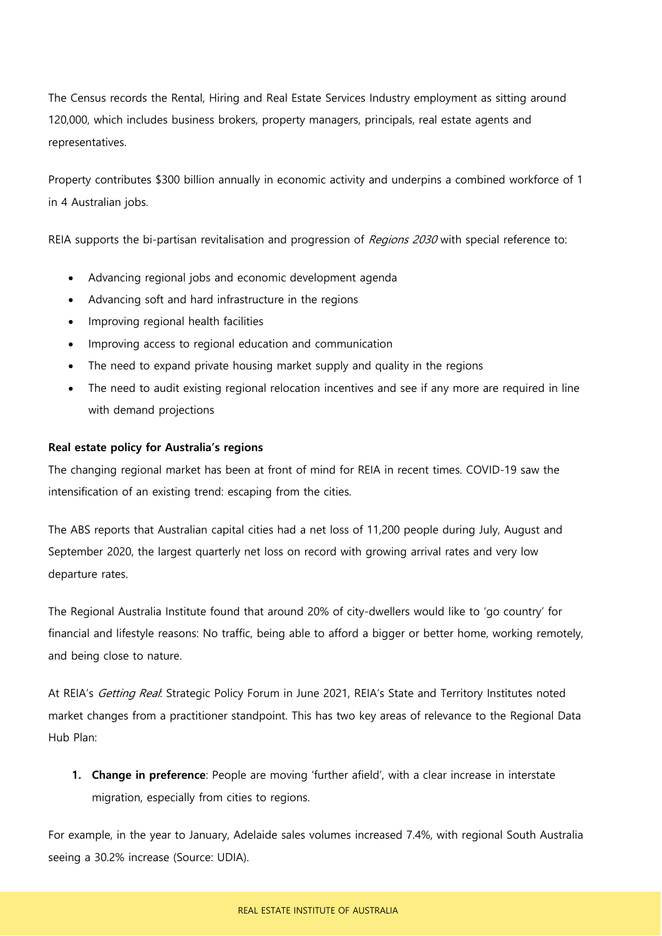The Census records the Rental, Hiring and Real Estate Services Industry employment as sitting around 120,000, which includes business brokers, property managers, principals, real estate agents and representatives.

Property contributes \$300 billion annually in economic activity and underpins a combined workforce of 1 in 4 Australian jobs.

REIA supports the bi-partisan revitalisation and progression of Regions 2030 with special reference to:

- Advancing regional jobs and economic development agenda
- Advancing soft and hard infrastructure in the regions
- Improving regional health facilities
- Improving access to regional education and communication
- The need to expand private housing market supply and quality in the regions
- The need to audit existing regional relocation incentives and see if any more are required in line with demand projections

## **Real estate policy for Australia's regions**

The changing regional market has been at front of mind for REIA in recent times. COVID-19 saw the intensification of an existing trend: escaping from the cities.

The ABS reports that Australian capital cities had a net loss of 11,200 people during July, August and September 2020, the largest quarterly net loss on record with growing arrival rates and very low departure rates.

The Regional Australia Institute found that around 20% of city-dwellers would like to 'go country' for financial and lifestyle reasons: No traffic, being able to afford a bigger or better home, working remotely, and being close to nature.

At REIA's Getting Real: Strategic Policy Forum in June 2021, REIA's State and Territory Institutes noted market changes from a practitioner standpoint. This has two key areas of relevance to the Regional Data Hub Plan:

**1. Change in preference**: People are moving 'further afield', with a clear increase in interstate migration, especially from cities to regions.

For example, in the year to January, Adelaide sales volumes increased 7.4%, with regional South Australia seeing a 30.2% increase (Source: UDIA).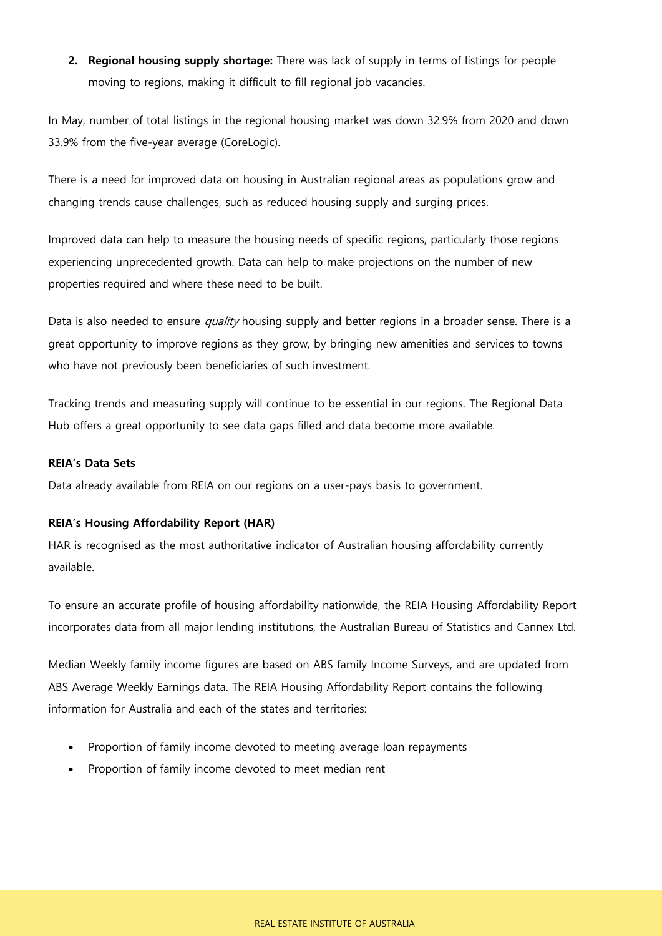**2. Regional housing supply shortage:** There was lack of supply in terms of listings for people moving to regions, making it difficult to fill regional job vacancies.

In May, number of total listings in the regional housing market was down 32.9% from 2020 and down 33.9% from the five-year average (CoreLogic).

There is a need for improved data on housing in Australian regional areas as populations grow and changing trends cause challenges, such as reduced housing supply and surging prices.

Improved data can help to measure the housing needs of specific regions, particularly those regions experiencing unprecedented growth. Data can help to make projections on the number of new properties required and where these need to be built.

Data is also needed to ensure quality housing supply and better regions in a broader sense. There is a great opportunity to improve regions as they grow, by bringing new amenities and services to towns who have not previously been beneficiaries of such investment.

Tracking trends and measuring supply will continue to be essential in our regions. The Regional Data Hub offers a great opportunity to see data gaps filled and data become more available.

#### **REIA's Data Sets**

Data already available from REIA on our regions on a user-pays basis to government.

#### **REIA's Housing Affordability Report (HAR)**

HAR is recognised as the most authoritative indicator of Australian housing affordability currently available.

To ensure an accurate profile of housing affordability nationwide, the REIA Housing Affordability Report incorporates data from all major lending institutions, the Australian Bureau of Statistics and Cannex Ltd.

Median Weekly family income figures are based on ABS family Income Surveys, and are updated from ABS Average Weekly Earnings data. The REIA Housing Affordability Report contains the following information for Australia and each of the states and territories:

- Proportion of family income devoted to meeting average loan repayments
- Proportion of family income devoted to meet median rent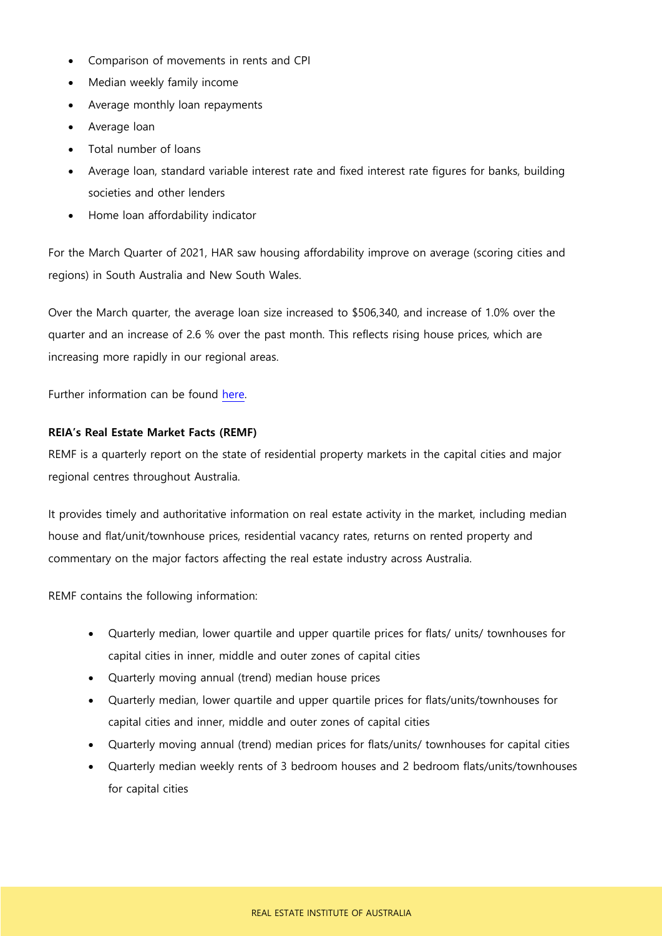- Comparison of movements in rents and CPI
- Median weekly family income
- Average monthly loan repayments
- Average loan
- Total number of loans
- Average loan, standard variable interest rate and fixed interest rate figures for banks, building societies and other lenders
- Home loan affordability indicator

For the March Quarter of 2021, HAR saw housing affordability improve on average (scoring cities and regions) in South Australia and New South Wales.

Over the March quarter, the average loan size increased to \$506,340, and increase of 1.0% over the quarter and an increase of 2.6 % over the past month. This reflects rising house prices, which are increasing more rapidly in our regional areas.

Further information can be found [here.](https://reia.asn.au/product/reia-reports-subscription-har/)

## **REIA's Real Estate Market Facts (REMF)**

REMF is a quarterly report on the state of residential property markets in the capital cities and major regional centres throughout Australia.

It provides timely and authoritative information on real estate activity in the market, including median house and flat/unit/townhouse prices, residential vacancy rates, returns on rented property and commentary on the major factors affecting the real estate industry across Australia.

REMF contains the following information:

- Quarterly median, lower quartile and upper quartile prices for flats/ units/ townhouses for capital cities in inner, middle and outer zones of capital cities
- Quarterly moving annual (trend) median house prices
- Quarterly median, lower quartile and upper quartile prices for flats/units/townhouses for capital cities and inner, middle and outer zones of capital cities
- Quarterly moving annual (trend) median prices for flats/units/ townhouses for capital cities
- Quarterly median weekly rents of 3 bedroom houses and 2 bedroom flats/units/townhouses for capital cities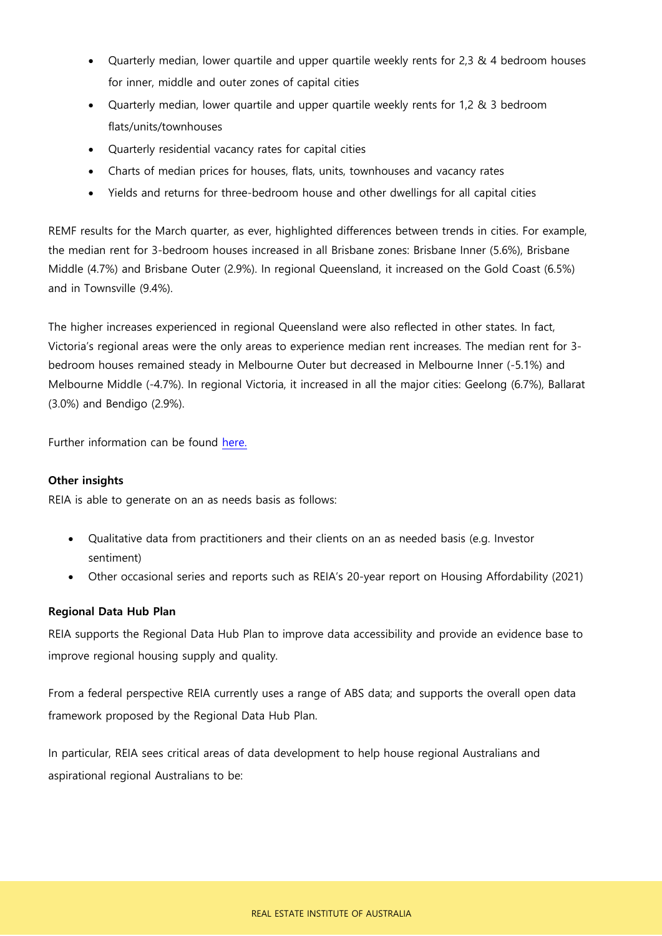- Quarterly median, lower quartile and upper quartile weekly rents for 2,3 & 4 bedroom houses for inner, middle and outer zones of capital cities
- Quarterly median, lower quartile and upper quartile weekly rents for 1,2 & 3 bedroom flats/units/townhouses
- Quarterly residential vacancy rates for capital cities
- Charts of median prices for houses, flats, units, townhouses and vacancy rates
- Yields and returns for three-bedroom house and other dwellings for all capital cities

REMF results for the March quarter, as ever, highlighted differences between trends in cities. For example, the median rent for 3-bedroom houses increased in all Brisbane zones: Brisbane Inner (5.6%), Brisbane Middle (4.7%) and Brisbane Outer (2.9%). In regional Queensland, it increased on the Gold Coast (6.5%) and in Townsville (9.4%).

The higher increases experienced in regional Queensland were also reflected in other states. In fact, Victoria's regional areas were the only areas to experience median rent increases. The median rent for 3 bedroom houses remained steady in Melbourne Outer but decreased in Melbourne Inner (-5.1%) and Melbourne Middle (-4.7%). In regional Victoria, it increased in all the major cities: Geelong (6.7%), Ballarat (3.0%) and Bendigo (2.9%).

Further information can be found [here.](https://reia.asn.au/product/reia-reports-subscription-remf/) 

### **Other insights**

REIA is able to generate on an as needs basis as follows:

- Qualitative data from practitioners and their clients on an as needed basis (e.g. Investor sentiment)
- Other occasional series and reports such as REIA's 20-year report on Housing Affordability (2021)

### **Regional Data Hub Plan**

REIA supports the Regional Data Hub Plan to improve data accessibility and provide an evidence base to improve regional housing supply and quality.

From a federal perspective REIA currently uses a range of ABS data; and supports the overall open data framework proposed by the Regional Data Hub Plan.

In particular, REIA sees critical areas of data development to help house regional Australians and aspirational regional Australians to be: